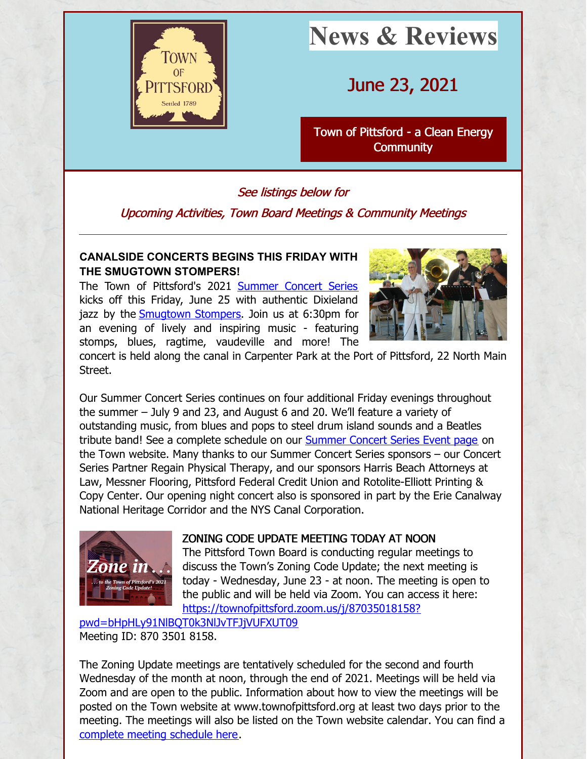

# **News & Reviews**

# June 23, 2021

Town of Pittsford - a Clean Energy **[Community](http://www.townofpittsford.org)** 

# See listings below for

Upcoming Activities, Town Board Meetings & Community Meetings

# **CANALSIDE CONCERTS BEGINS THIS FRIDAY WITH THE SMUGTOWN STOMPERS!**

The Town of Pittsford's 2021 [Summer](http://townofpittsford.org/summerconcertseries) Concert Series kicks off this Friday, June 25 with authentic Dixieland jazz by the **[Smugtown](https://www.smugtownstompers.com/) Stompers**. Join us at 6:30pm for an evening of lively and inspiring music - featuring stomps, blues, ragtime, vaudeville and more! The



concert is held along the canal in Carpenter Park at the Port of Pittsford, 22 North Main Street.

Our Summer Concert Series continues on four additional Friday evenings throughout the summer – July 9 and 23, and August 6 and 20. We'll feature a variety of outstanding music, from blues and pops to steel drum island sounds and a Beatles tribute band! See a complete schedule on our **[Summer](http://townofpittsford.org/summerconcertseries) Concert Series Event page** on the Town website. Many thanks to our Summer Concert Series sponsors – our Concert Series Partner Regain Physical Therapy, and our sponsors Harris Beach Attorneys at Law, Messner Flooring, Pittsford Federal Credit Union and Rotolite-Elliott Printing & Copy Center. Our opening night concert also is sponsored in part by the Erie Canalway National Heritage Corridor and the NYS Canal Corporation.



# ZONING CODE UPDATE MEETING TODAY AT NOON

The Pittsford Town Board is conducting regular meetings to discuss the Town's Zoning Code Update; the next meeting is today - Wednesday, June 23 - at noon. The meeting is open to the public and will be held via Zoom. You can access it here: [https://townofpittsford.zoom.us/j/87035018158?](https://townofpittsford.zoom.us/j/87035018158?pwd=bHpHLy91NlBQT0k3NlJvTFJjVUFXUT09)

pwd=bHpHLy91NlBQT0k3NlJvTFJjVUFXUT09 Meeting ID: 870 3501 8158.

The Zoning Update meetings are tentatively scheduled for the second and fourth Wednesday of the month at noon, through the end of 2021. Meetings will be held via Zoom and are open to the public. Information about how to view the meetings will be posted on the Town website at www.townofpittsford.org at least two days prior to the meeting. The meetings will also be listed on the Town website calendar. You can find a [complete](http://townofpittsford.org/files/publications/zoning/zoning-update-mtgs-sched-with-zoom-links.pdf) meeting schedule here.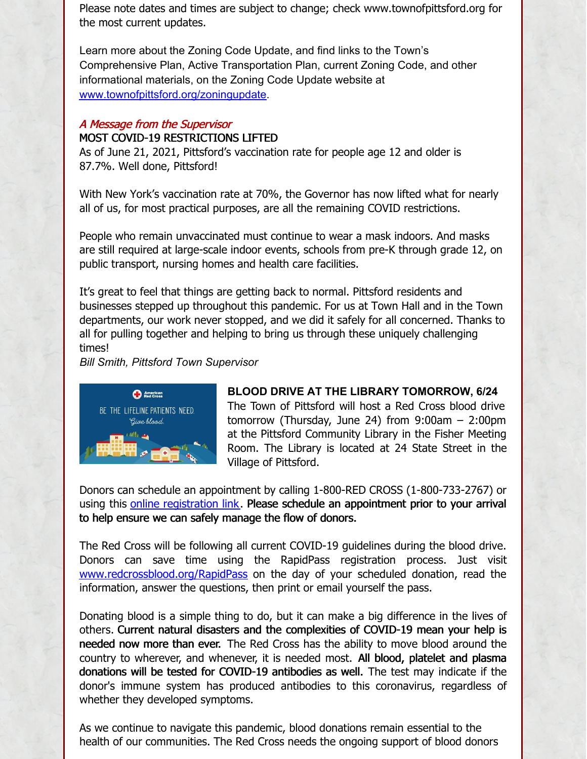Please note dates and times are subject to change; check www.townofpittsford.org for the most current updates.

Learn more about the Zoning Code Update, and find links to the Town's Comprehensive Plan, Active Transportation Plan, current Zoning Code, and other informational materials, on the Zoning Code Update website at [www.townofpittsford.org/zoningupdate](http://www.townofpittsford.org/zoningupdate).

#### A Message from the Supervisor

#### MOST COVID-19 RESTRICTIONS LIFTED

As of June 21, 2021, Pittsford's vaccination rate for people age 12 and older is 87.7%. Well done, Pittsford!

With New York's vaccination rate at 70%, the Governor has now lifted what for nearly all of us, for most practical purposes, are all the remaining COVID restrictions.

People who remain unvaccinated must continue to wear a mask indoors. And masks are still required at large-scale indoor events, schools from pre-K through grade 12, on public transport, nursing homes and health care facilities.

It's great to feel that things are getting back to normal. Pittsford residents and businesses stepped up throughout this pandemic. For us at Town Hall and in the Town departments, our work never stopped, and we did it safely for all concerned. Thanks to all for pulling together and helping to bring us through these uniquely challenging times!

*Bill Smith, Pittsford Town Supervisor*



**BLOOD DRIVE AT THE LIBRARY TOMORROW, 6/24** The Town of Pittsford will host a Red Cross blood drive tomorrow (Thursday, June 24) from 9:00am – 2:00pm at the Pittsford Community Library in the Fisher Meeting Room. The Library is located at 24 State Street in the Village of Pittsford.

Donors can schedule an appointment by calling 1-800-RED CROSS (1-800-733-2767) or using this online [registration](https://www.redcrossblood.org/give.html/drive-results?zipSponsor=pittsfordlibrary) link. Please schedule an appointment prior to your arrival to help ensure we can safely manage the flow of donors.

The Red Cross will be following all current COVID-19 guidelines during the blood drive. Donors can save time using the RapidPass registration process. Just visit [www.redcrossblood.org/RapidPass](http://www.redcrossblood.org/rapidpass) on the day of your scheduled donation, read the information, answer the questions, then print or email yourself the pass.

Donating blood is a simple thing to do, but it can make a big difference in the lives of others. Current natural disasters and the complexities of COVID-19 mean your help is needed now more than ever. The Red Cross has the ability to move blood around the country to wherever, and whenever, it is needed most. All blood, platelet and plasma donations will be tested for COVID-19 antibodies as well. The test may indicate if the donor's immune system has produced antibodies to this coronavirus, regardless of whether they developed symptoms.

As we continue to navigate this pandemic, blood donations remain essential to the health of our communities. The Red Cross needs the ongoing support of blood donors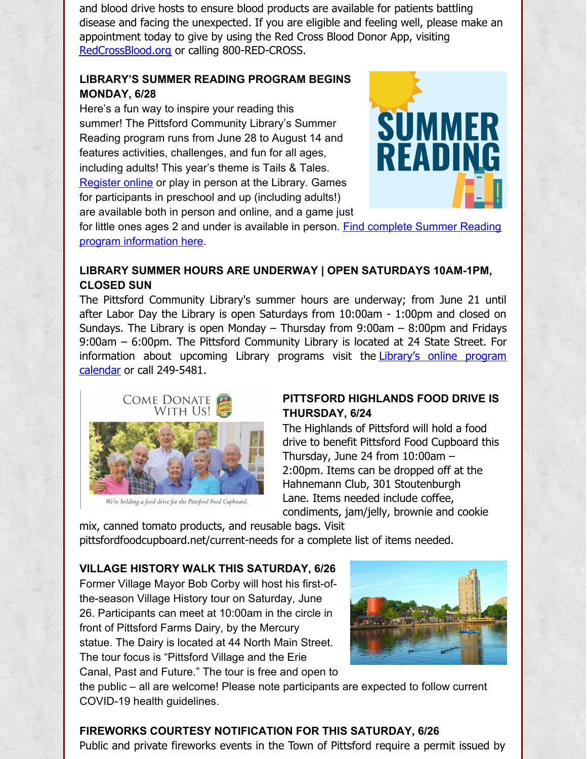and blood drive hosts to ensure blood products are available for patients battling disease and facing the unexpected. If you are eligible and feeling well, please make an appointment today to give by using the Red Cross Blood Donor App, visiting [RedCrossBlood.org](http://redcrossblood.org) or calling 800-RED-CROSS.

### **LIBRARY'S SUMMER READING PROGRAM BEGINS MONDAY, 6/28**

Here's a fun way to inspire your reading this summer! The Pittsford Community Library's Summer Reading program runs from June 28 to August 14 and features activities, challenges, and fun for all ages, including adults! This year's theme is Tails & Tales. [Register](https://pittsfordcommunitylibrary.beanstack.org/reader365) online or play in person at the Library. Games for participants in preschool and up (including adults!) are available both in person and online, and a game just



for little ones ages 2 and under is available in person. Find complete Summer Reading program [information](https://www.townofpittsford.org/librarynews/summer-reading-june-28-august-14) here.

# **LIBRARY SUMMER HOURS ARE UNDERWAY | OPEN SATURDAYS 10AM-1PM, CLOSED SUN**

The Pittsford Community Library's summer hours are underway; from June 21 until after Labor Day the Library is open Saturdays from 10:00am - 1:00pm and closed on Sundays. The Library is open Monday – Thursday from 9:00am – 8:00pm and Fridays 9:00am – 6:00pm. The Pittsford Community Library is located at 24 State Street. For [information](http://calendar.libraryweb.org/calendar/Pittsford/?cid=6821&t=m&d=0000-00-00&cal=6821) about upcoming Library programs visit the Library's online program calendar or call 249-5481.



We're holding a food drive for the Pittsford Food Cupboard.

# **PITTSFORD HIGHLANDS FOOD DRIVE IS THURSDAY, 6/24**

The Highlands of Pittsford will hold a food drive to benefit Pittsford Food Cupboard this Thursday, June 24 from 10:00am – 2:00pm. Items can be dropped off at the Hahnemann Club, 301 Stoutenburgh Lane. Items needed include coffee, condiments, jam/jelly, brownie and cookie

mix, canned tomato products, and reusable bags. Visit pittsfordfoodcupboard.net/current-needs for a complete list of items needed.

# **VILLAGE HISTORY WALK THIS SATURDAY, 6/26**

Former Village Mayor Bob Corby will host his first-ofthe-season Village History tour on Saturday, June 26. Participants can meet at 10:00am in the circle in front of Pittsford Farms Dairy, by the Mercury statue. The Dairy is located at 44 North Main Street. The tour focus is "Pittsford Village and the Erie Canal, Past and Future." The tour is free and open to



the public – all are welcome! Please note participants are expected to follow current COVID-19 health guidelines.

# **FIREWORKS COURTESY NOTIFICATION FOR THIS SATURDAY, 6/26**

Public and private fireworks events in the Town of Pittsford require a permit issued by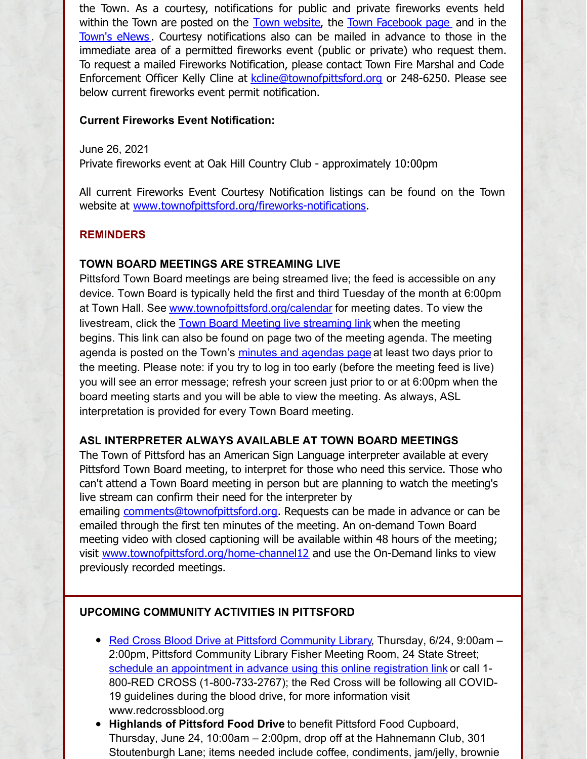the Town. As a courtesy, notifications for public and private fireworks events held within the Town are posted on the Town [website](http://www.townofpittsford.org/fireworks-notifications), the Town [Facebook](https://www.facebook.com/Town-of-Pittsford-139082619464200) page and in the [Town's](http://www.townofpittsford.org/enews) eNews. Courtesy notifications also can be mailed in advance to those in the immediate area of a permitted fireworks event (public or private) who request them. To request a mailed Fireworks Notification, please contact Town Fire Marshal and Code Enforcement Officer Kelly Cline at [kcline@townofpittsford.org](mailto:kcline@townofpittsford.or?subject=Town Fireworks Courtesy Notification) or 248-6250. Please see below current fireworks event permit notification.

#### **Current Fireworks Event Notification:**

June 26, 2021

Private fireworks event at Oak Hill Country Club - approximately 10:00pm

All current Fireworks Event Courtesy Notification listings can be found on the Town website at [www.townofpittsford.org/fireworks-notifications](http://www.townofpittsford.org/fireworks-notifications).

#### **REMINDERS**

#### **TOWN BOARD MEETINGS ARE STREAMING LIVE**

Pittsford Town Board meetings are being streamed live; the feed is accessible on any device. Town Board is typically held the first and third Tuesday of the month at 6:00pm at Town Hall. See [www.townofpittsford.org/calendar](http://www.townofpittsford.org/calendar) for meeting dates. To view the livestream, click the Town Board Meeting live [streaming](https://videoplayer.telvue.com/player/FcqTL0OYMCGU6WlccUApyUL3twz4dm9V/stream/819?fullscreen=false&showtabssearch=true&autostart=true) link when the meeting begins. This link can also be found on page two of the meeting agenda. The meeting agenda is posted on the Town's minutes and [agendas](http://townofpittsford.org/home-minutes) page at least two days prior to the meeting. Please note: if you try to log in too early (before the meeting feed is live) you will see an error message; refresh your screen just prior to or at 6:00pm when the board meeting starts and you will be able to view the meeting. As always, ASL interpretation is provided for every Town Board meeting.

#### **ASL INTERPRETER ALWAYS AVAILABLE AT TOWN BOARD MEETINGS**

The Town of Pittsford has an American Sign Language interpreter available at every Pittsford Town Board meeting, to interpret for those who need this service. Those who can't attend a Town Board meeting in person but are planning to watch the meeting's live stream can confirm their need for the interpreter by

emailing [comments@townofpittsford.org](mailto:comments@townofpittsford.org?subject=ASL interperter request for Town Board meeting). Requests can be made in advance or can be emailed through the first ten minutes of the meeting. An on-demand Town Board meeting video with closed captioning will be available within 48 hours of the meeting; visit [www.townofpittsford.org/home-channel12](http://www.townofpittsford.org/home-channel12) and use the On-Demand links to view previously recorded meetings.

#### **UPCOMING COMMUNITY ACTIVITIES IN PITTSFORD**

- Red Cross Blood Drive at Pittsford [Community](https://www.redcrossblood.org/give.html/drive-results?zipSponsor=pittsfordlibrary) Library, Thursday, 6/24, 9:00am -2:00pm, Pittsford Community Library Fisher Meeting Room, 24 State Street; schedule an [appointment](https://www.redcrossblood.org/give.html/drive-results?zipSponsor=pittsfordlibrary) in advance using this online registration link or call 1-800-RED CROSS (1-800-733-2767); the Red Cross will be following all COVID-19 guidelines during the blood drive, for more information visit www.redcrossblood.org
- **Highlands of Pittsford Food Drive** to benefit Pittsford Food Cupboard, Thursday, June 24, 10:00am – 2:00pm, drop off at the Hahnemann Club, 301 Stoutenburgh Lane; items needed include coffee, condiments, jam/jelly, brownie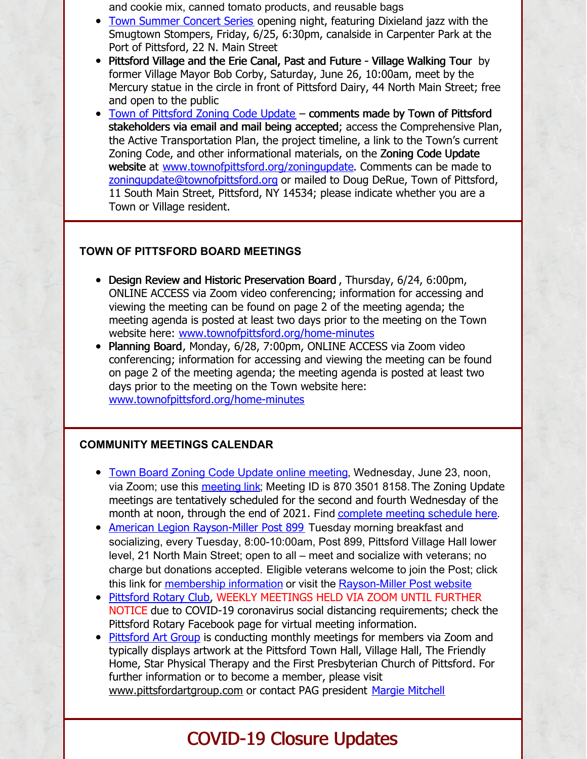and cookie mix, canned tomato products, and reusable bags

- Town [Summer](http://townofpittsford.org/summerconcertseries) Concert Series opening night, featuring Dixieland jazz with the Smugtown Stompers, Friday, 6/25, 6:30pm, canalside in Carpenter Park at the Port of Pittsford, 22 N. Main Street
- Pittsford Village and the Erie Canal, Past and Future Village Walking Tour by former Village Mayor Bob Corby, Saturday, June 26, 10:00am, meet by the Mercury statue in the circle in front of Pittsford Dairy, 44 North Main Street; free and open to the public
- Town of [Pittsford](http://www.townofpittsford.org/zoningupdate) Zoning Code Update comments made by Town of Pittsford stakeholders via email and mail being accepted; access the Comprehensive Plan, the Active Transportation Plan, the project timeline, a link to the Town's current Zoning Code, and other informational materials, on the Zoning Code Update website at [www.townofpittsford.org/zoningupdate](http://www.townofpittsford.org/zoningupdate). Comments can be made to [zoningupdate@townofpittsford.org](mailto:zoningupdate@townofpittsford.org) or mailed to Doug DeRue, Town of Pittsford, 11 South Main Street, Pittsford, NY 14534; please indicate whether you are a Town or Village resident.

### **TOWN OF PITTSFORD BOARD MEETINGS**

- Design Review and Historic Preservation Board, Thursday, 6/24, 6:00pm, ONLINE ACCESS via Zoom video conferencing; information for accessing and viewing the meeting can be found on page 2 of the meeting agenda; the meeting agenda is posted at least two days prior to the meeting on the Town website here: [www.townofpittsford.org/home-minutes](http://www.townofpittsford.org/home-minutes)
- Planning Board, Monday, 6/28, 7:00pm, ONLINE ACCESS via Zoom video conferencing; information for accessing and viewing the meeting can be found on page 2 of the meeting agenda; the meeting agenda is posted at least two days prior to the meeting on the Town website here: [www.townofpittsford.org/home-minutes](http://www.townofpittsford.org/home-minutes)

#### **COMMUNITY MEETINGS CALENDAR**

- Town Board Zoning Code Update online [meeting](https://townofpittsford.zoom.us/j/87035018158?pwd=bHpHLy91NlBQT0k3NlJvTFJjVUFXUT09), Wednesday, June 23, noon, via Zoom; use this [meeting](https://townofpittsford.zoom.us/j/87035018158?pwd=bHpHLy91NlBQT0k3NlJvTFJjVUFXUT09) link; Meeting ID is 870 3501 8158.The Zoning Update meetings are tentatively scheduled for the second and fourth Wednesday of the month at noon, through the end of 2021. Find [complete](http://townofpittsford.org/files/publications/zoning/zoning-update-mtgs-sched-with-zoom-links.pdf) meeting schedule here.
- American Legion [Rayson-Miller](http://www.raysonmillerpost899.org/) Post 899 Tuesday morning breakfast and socializing, every Tuesday, 8:00-10:00am, Post 899, Pittsford Village Hall lower level, 21 North Main Street; open to all – meet and socialize with veterans; no charge but donations accepted. Eligible veterans welcome to join the Post; click this link for [membership](https://raysonmillerpost899.org/contact.html) information or visit the [Rayson-Miller](http://www.raysonmillerpost899.org) Post website
- [Pittsford](http://www.pittsfordrotaryclub.org/) Rotary Club, WEEKLY MEETINGS HELD VIA ZOOM UNTIL FURTHER NOTICE due to COVID-19 coronavirus social distancing requirements; check the Pittsford Rotary Facebook page for virtual meeting information.
- [Pittsford](https://pittsfordartgroup.wordpress.com/) Art Group is conducting monthly meetings for members via Zoom and typically displays artwork at the Pittsford Town Hall, Village Hall, The Friendly Home, Star Physical Therapy and the First Presbyterian Church of Pittsford. For further information or to become a member, please visit [www.pittsfordartgroup.com](http://www.pittsfordartgroup.com) or contact PAG president Margie [Mitchell](mailto:mhsmitchell@gmail.com?subject=Pittsford Art Group Meetings and Membership)

# COVID-19 Closure Updates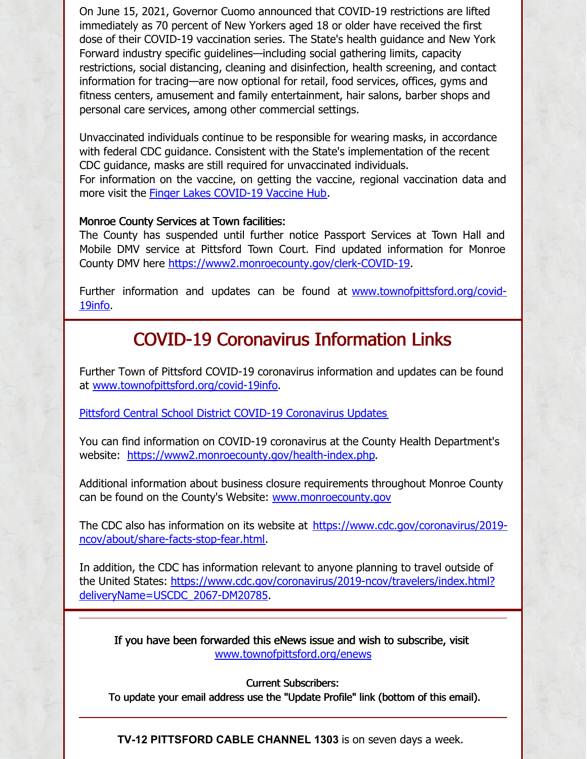On June 15, 2021, Governor Cuomo announced that COVID-19 restrictions are lifted immediately as 70 percent of New Yorkers aged 18 or older have received the first dose of their COVID-19 vaccination series. The State's health guidance and New York Forward industry specific guidelines—including social gathering limits, capacity restrictions, social distancing, cleaning and disinfection, health screening, and contact information for tracing—are now optional for retail, food services, offices, gyms and fitness centers, amusement and family entertainment, hair salons, barber shops and personal care services, among other commercial settings.

Unvaccinated individuals continue to be responsible for wearing masks, in accordance with federal CDC guidance. Consistent with the State's implementation of the recent CDC guidance, masks are still required for unvaccinated individuals. For information on the vaccine, on getting the vaccine, regional vaccination data and more visit the Finger Lakes [COVID-19](https://www.flvaccinehub.com/) Vaccine Hub.

#### Monroe County Services at Town facilities:

The County has suspended until further notice Passport Services at Town Hall and Mobile DMV service at Pittsford Town Court. Find updated information for Monroe County DMV here <https://www2.monroecounty.gov/clerk-COVID-19>.

Further information and updates can be found at [www.townofpittsford.org/covid-](http://www.townofpittsford.org/covid-19info)19info.

# COVID-19 Coronavirus Information Links

Further Town of Pittsford COVID-19 coronavirus information and updates can be found at [www.townofpittsford.org/covid-19info](http://www.townofpittsford.org/covid-19info).

Pittsford Central School District COVID-19 [Coronavirus](https://www.pittsfordschools.org/COVID-19information) Updates

You can find information on COVID-19 coronavirus at the County Health Department's website: <https://www2.monroecounty.gov/health-index.php>.

Additional information about business closure requirements throughout Monroe County can be found on the County's Website: [www.monroecounty.gov](http://www.monroecounty.gov/)

The CDC also has information on its website at [https://www.cdc.gov/coronavirus/2019](https://www.cdc.gov/coronavirus/2019-ncov/about/share-facts-stop-fear.html) ncov/about/share-facts-stop-fear.html.

In addition, the CDC has information relevant to anyone planning to travel outside of the United States: [https://www.cdc.gov/coronavirus/2019-ncov/travelers/index.html?](https://www.cdc.gov/coronavirus/2019-ncov/travelers/index.html?deliveryName=USCDC_2067-DM20785) deliveryName=USCDC\_2067-DM20785.

If you have been forwarded this eNews issue and wish to subscribe, visit [www.townofpittsford.org/enews](http://www.townofpittsford.org/enews)

Current Subscribers:

To update your email address use the "Update Profile" link (bottom of this email).

**TV-12 PITTSFORD CABLE CHANNEL 1303** is on seven days a week.